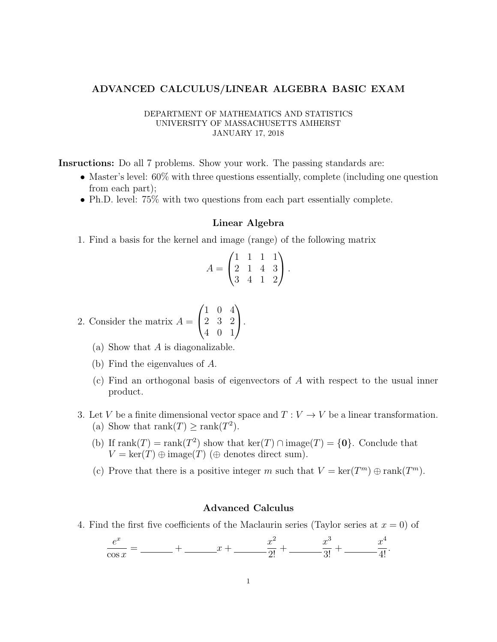## ADVANCED CALCULUS/LINEAR ALGEBRA BASIC EXAM

## DEPARTMENT OF MATHEMATICS AND STATISTICS UNIVERSITY OF MASSACHUSETTS AMHERST JANUARY 17, 2018

Insructions: Do all 7 problems. Show your work. The passing standards are:

- Master's level:  $60\%$  with three questions essentially, complete (including one question from each part);
- Ph.D. level: 75% with two questions from each part essentially complete.

## Linear Algebra

1. Find a basis for the kernel and image (range) of the following matrix

$$
A = \begin{pmatrix} 1 & 1 & 1 & 1 \\ 2 & 1 & 4 & 3 \\ 3 & 4 & 1 & 2 \end{pmatrix}.
$$

2. Consider the matrix 
$$
A = \begin{pmatrix} 1 & 0 & 4 \\ 2 & 3 & 2 \\ 4 & 0 & 1 \end{pmatrix}
$$
.

- (a) Show that A is diagonalizable.
- (b) Find the eigenvalues of A.
- (c) Find an orthogonal basis of eigenvectors of A with respect to the usual inner product.
- 3. Let V be a finite dimensional vector space and  $T: V \to V$  be a linear transformation. (a) Show that rank $(T) \geq \text{rank}(T^2)$ .
	- (b) If rank $(T) = \text{rank}(T^2)$  show that  $\text{ker}(T) \cap \text{image}(T) = \{0\}$ . Conclude that  $V = \ker(T) \oplus \text{image}(T)$  ( $\oplus$  denotes direct sum).
	- (c) Prove that there is a positive integer m such that  $V = \text{ker}(T^m) \oplus \text{rank}(T^m)$ .

## Advanced Calculus

4. Find the first five coefficients of the Maclaurin series (Taylor series at  $x = 0$ ) of

$$
\frac{e^x}{\cos x} = \underline{\hspace{1cm}} + \underline{\hspace{1cm}} x + \underline{\hspace{1cm}} \frac{x^2}{2!} + \underline{\hspace{1cm}} \frac{x^3}{3!} + \underline{\hspace{1cm}} \frac{x^4}{4!}.
$$